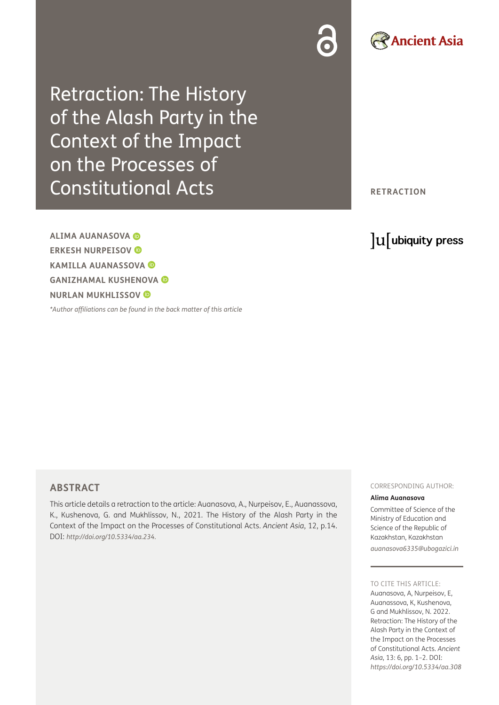Retraction: The History of the Alash Party in the Context of the Impact on the Processes of Constitutional Acts

**ALIMA AUANASOVA ERKESH NURPEISOV KAMILLA AUANASSOVA GANIZHAMAL KUSHENOVA NURLAN MUKHLISSOV** 

*[\\*Author affiliations can be found in the back matter of this article](#page-1-0)*

**RETRACTION**

# lu ubiquity press

**Ancient Asia** 

## **ABSTRACT**

This article details a retraction to the article: Auanasova, A., Nurpeisov, E., Auanassova, K., Kushenova, G. and Mukhlissov, N., 2021. The History of the Alash Party in the Context of the Impact on the Processes of Constitutional Acts. *Ancient Asia*, 12, p.14. DOI: *[http://doi.org/10.5334/aa.234.](http://doi.org/10.5334/aa.234)*

#### CORRESPONDING AUTHOR:

#### **Alima Auanasova**

Committee of Science of the Ministry of Education and Science of the Republic of Kazakhstan, Kazakhstan *[auanasova6335@ubogazici.in](mailto:auanasova6335@ubogazici.in)*

#### TO CITE THIS ARTICLE:

Auanasova, A, Nurpeisov, E, Auanassova, K, Kushenova, G and Mukhlissov, N. 2022. Retraction: The History of the Alash Party in the Context of the Impact on the Processes of Constitutional Acts. *Ancient Asia*, 13: 6, pp. 1–2. DOI: *<https://doi.org/10.5334/aa.308>*